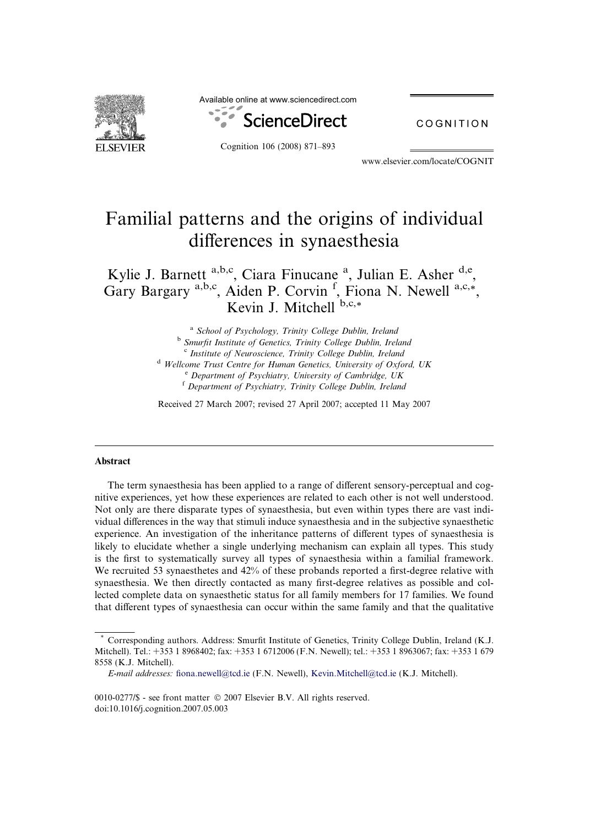

Available online at www.sciencedirect.com



COGNITION

Cognition 106 (2008) 871–893

www.elsevier.com/locate/COGNIT

# Familial patterns and the origins of individual differences in synaesthesia

Kylie J. Barnett a,b,c, Ciara Finucane <sup>a</sup>, Julian E. Asher <sup>d,e</sup>, Gary Bargary a,b,c, Aiden P. Corvin<sup>f</sup>, Fiona N. Newell a,c,\*, Kevin J. Mitchell b,c,\*

> <sup>a</sup> School of Psychology, Trinity College Dublin, Ireland <sup>b</sup> Smurfit Institute of Genetics, Trinity College Dublin, Ireland <sup>c</sup> Institute of Neuroscience, Trinity College Dublin, Ireland <sup>d</sup> Wellcome Trust Centre for Human Genetics, University of Oxford, UK  $e^e$  Department of Psychiatry, University of Cambridge, UK <sup>f</sup> Department of Psychiatry, Trinity College Dublin, Ireland

> Received 27 March 2007; revised 27 April 2007; accepted 11 May 2007

# **Abstract**

The term synaesthesia has been applied to a range of different sensory-perceptual and cognitive experiences, yet how these experiences are related to each other is not well understood. Not only are there disparate types of synaesthesia, but even within types there are vast individual differences in the way that stimuli induce synaesthesia and in the subjective synaesthetic experience. An investigation of the inheritance patterns of different types of synaesthesia is likely to elucidate whether a single underlying mechanism can explain all types. This study is the first to systematically survey all types of synaesthesia within a familial framework. We recruited 53 synaesthetes and 42% of these probands reported a first-degree relative with synaesthesia. We then directly contacted as many first-degree relatives as possible and collected complete data on synaesthetic status for all family members for 17 families. We found that different types of synaesthesia can occur within the same family and that the qualitative

<sup>\*</sup> Corresponding authors. Address: Smurfit Institute of Genetics, Trinity College Dublin, Ireland (K.J. Mitchell). Tel.: +353 1 8968402; fax: +353 1 6712006 (F.N. Newell); tel.: +353 1 8963067; fax: +353 1 679 8558 (K.J. Mitchell).

E-mail addresses: [fiona.newell@tcd.ie](mailto:fiona.newell@tcd.ie) (F.N. Newell), [Kevin.Mitchell@tcd.ie](mailto:Kevin.Mitchell@tcd.ie) (K.J. Mitchell).

<sup>0010-0277/\$ -</sup> see front matter © 2007 Elsevier B.V. All rights reserved. doi:10.1016/j.cognition.2007.05.003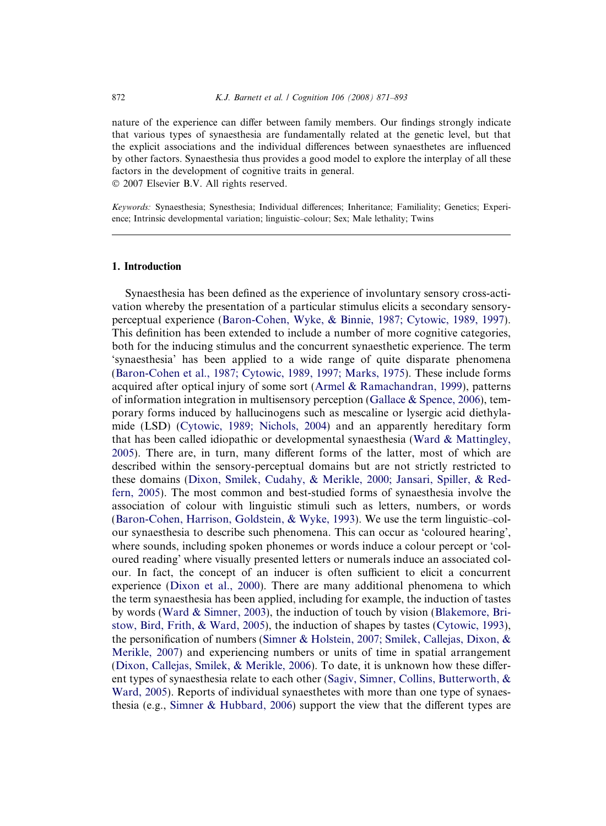nature of the experience can differ between family members. Our findings strongly indicate that various types of synaesthesia are fundamentally related at the genetic level, but that the explicit associations and the individual differences between synaesthetes are influenced by other factors. Synaesthesia thus provides a good model to explore the interplay of all these factors in the development of cognitive traits in general.  $© 2007 Elsevier B.V. All rights reserved.$ 

Keywords: Synaesthesia; Synesthesia; Individual differences; Inheritance; Familiality; Genetics; Experience; Intrinsic developmental variation; linguistic–colour; Sex; Male lethality; Twins

#### 1. Introduction

Synaesthesia has been defined as the experience of involuntary sensory cross-activation whereby the presentation of a particular stimulus elicits a secondary sensoryperceptual experience ([Baron-Cohen, Wyke, & Binnie, 1987; Cytowic, 1989, 1997](#page-19-0)). This definition has been extended to include a number of more cognitive categories, both for the inducing stimulus and the concurrent synaesthetic experience. The term 'synaesthesia' has been applied to a wide range of quite disparate phenomena ([Baron-Cohen et al., 1987; Cytowic, 1989, 1997; Marks, 1975\)](#page-19-0). These include forms acquired after optical injury of some sort [\(Armel & Ramachandran, 1999](#page-19-0)), patterns of information integration in multisensory perception (Gallace  $\&$  Spence, 2006), temporary forms induced by hallucinogens such as mescaline or lysergic acid diethylamide (LSD) [\(Cytowic, 1989; Nichols, 2004\)](#page-20-0) and an apparently hereditary form that has been called idiopathic or developmental synaesthesia ([Ward & Mattingley,](#page-22-0) [2005\)](#page-22-0). There are, in turn, many different forms of the latter, most of which are described within the sensory-perceptual domains but are not strictly restricted to these domains [\(Dixon, Smilek, Cudahy, & Merikle, 2000; Jansari, Spiller, & Red](#page-20-0)[fern, 2005](#page-20-0)). The most common and best-studied forms of synaesthesia involve the association of colour with linguistic stimuli such as letters, numbers, or words ([Baron-Cohen, Harrison, Goldstein, & Wyke, 1993](#page-19-0)). We use the term linguistic–colour synaesthesia to describe such phenomena. This can occur as 'coloured hearing', where sounds, including spoken phonemes or words induce a colour percept or 'coloured reading' where visually presented letters or numerals induce an associated colour. In fact, the concept of an inducer is often sufficient to elicit a concurrent experience ([Dixon et al., 2000\)](#page-20-0). There are many additional phenomena to which the term synaesthesia has been applied, including for example, the induction of tastes by words ([Ward & Simner, 2003](#page-22-0)), the induction of touch by vision ([Blakemore, Bri](#page-19-0)[stow, Bird, Frith, & Ward, 2005](#page-19-0)), the induction of shapes by tastes [\(Cytowic, 1993](#page-20-0)), the personification of numbers [\(Simner & Holstein, 2007; Smilek, Callejas, Dixon, &](#page-21-0) [Merikle, 2007\)](#page-21-0) and experiencing numbers or units of time in spatial arrangement ([Dixon, Callejas, Smilek, & Merikle, 2006](#page-20-0)). To date, it is unknown how these different types of synaesthesia relate to each other ([Sagiv, Simner, Collins, Butterworth, &](#page-21-0) [Ward, 2005](#page-21-0)). Reports of individual synaesthetes with more than one type of synaesthesia (e.g., [Simner & Hubbard, 2006\)](#page-21-0) support the view that the different types are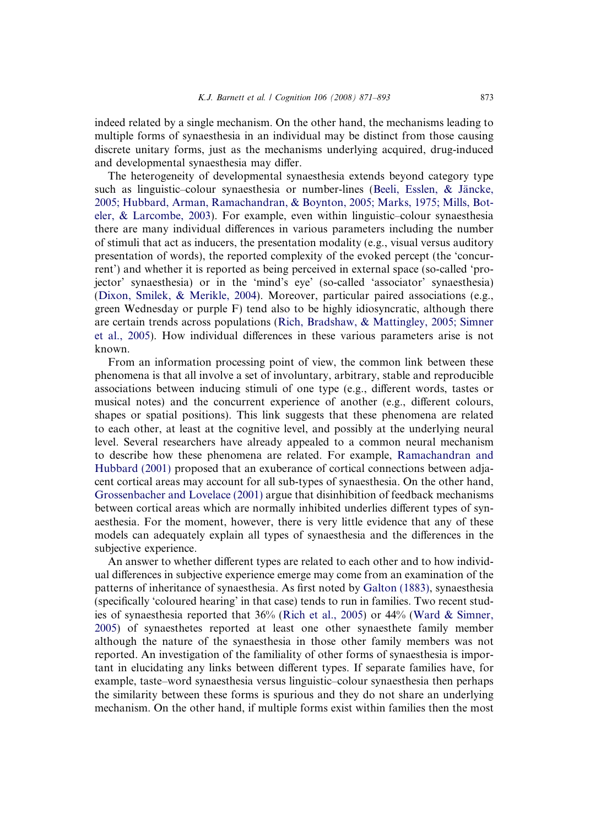indeed related by a single mechanism. On the other hand, the mechanisms leading to multiple forms of synaesthesia in an individual may be distinct from those causing discrete unitary forms, just as the mechanisms underlying acquired, drug-induced and developmental synaesthesia may differ.

The heterogeneity of developmental synaesthesia extends beyond category type such as linguistic–colour synaesthesia or number-lines (Beeli, Esslen, & Jäncke, [2005; Hubbard, Arman, Ramachandran, & Boynton, 2005; Marks, 1975; Mills, Bot](#page-19-0)[eler, & Larcombe, 2003](#page-19-0)). For example, even within linguistic–colour synaesthesia there are many individual differences in various parameters including the number of stimuli that act as inducers, the presentation modality (e.g., visual versus auditory presentation of words), the reported complexity of the evoked percept (the 'concurrent') and whether it is reported as being perceived in external space (so-called 'projector' synaesthesia) or in the 'mind's eye' (so-called 'associator' synaesthesia) [\(Dixon, Smilek, & Merikle, 2004\)](#page-20-0). Moreover, particular paired associations (e.g., green Wednesday or purple F) tend also to be highly idiosyncratic, although there are certain trends across populations ([Rich, Bradshaw, & Mattingley, 2005; Simner](#page-21-0) [et al., 2005\)](#page-21-0). How individual differences in these various parameters arise is not known.

From an information processing point of view, the common link between these phenomena is that all involve a set of involuntary, arbitrary, stable and reproducible associations between inducing stimuli of one type (e.g., different words, tastes or musical notes) and the concurrent experience of another (e.g., different colours, shapes or spatial positions). This link suggests that these phenomena are related to each other, at least at the cognitive level, and possibly at the underlying neural level. Several researchers have already appealed to a common neural mechanism to describe how these phenomena are related. For example, [Ramachandran and](#page-21-0) [Hubbard \(2001\)](#page-21-0) proposed that an exuberance of cortical connections between adjacent cortical areas may account for all sub-types of synaesthesia. On the other hand, [Grossenbacher and Lovelace \(2001\)](#page-20-0) argue that disinhibition of feedback mechanisms between cortical areas which are normally inhibited underlies different types of synaesthesia. For the moment, however, there is very little evidence that any of these models can adequately explain all types of synaesthesia and the differences in the subjective experience.

An answer to whether different types are related to each other and to how individual differences in subjective experience emerge may come from an examination of the patterns of inheritance of synaesthesia. As first noted by [Galton \(1883\)](#page-20-0), synaesthesia (specifically 'coloured hearing' in that case) tends to run in families. Two recent studies of synaesthesia reported that  $36\%$  [\(Rich et al., 2005](#page-21-0)) or  $44\%$  ([Ward & Simner,](#page-22-0) [2005\)](#page-22-0) of synaesthetes reported at least one other synaesthete family member although the nature of the synaesthesia in those other family members was not reported. An investigation of the familiality of other forms of synaesthesia is important in elucidating any links between different types. If separate families have, for example, taste–word synaesthesia versus linguistic–colour synaesthesia then perhaps the similarity between these forms is spurious and they do not share an underlying mechanism. On the other hand, if multiple forms exist within families then the most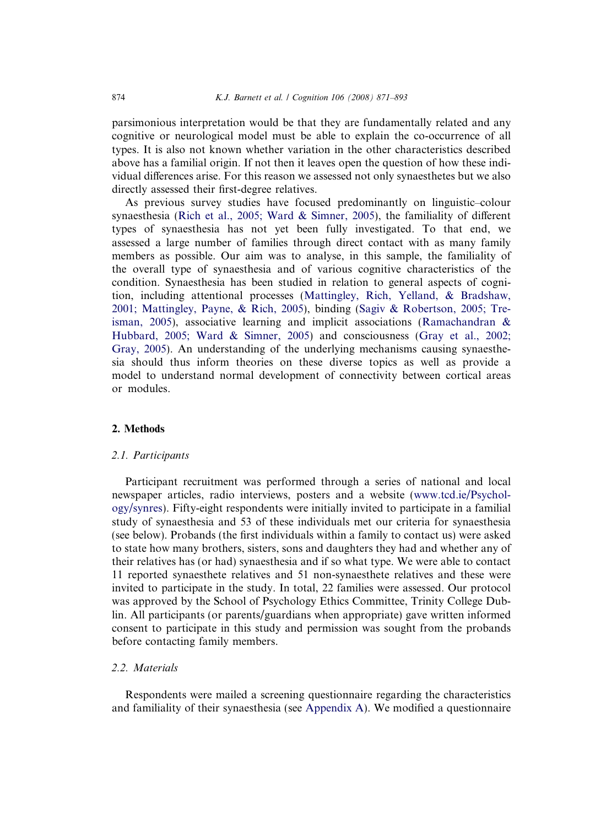<span id="page-3-0"></span>parsimonious interpretation would be that they are fundamentally related and any cognitive or neurological model must be able to explain the co-occurrence of all types. It is also not known whether variation in the other characteristics described above has a familial origin. If not then it leaves open the question of how these individual differences arise. For this reason we assessed not only synaesthetes but we also directly assessed their first-degree relatives.

As previous survey studies have focused predominantly on linguistic–colour synaesthesia [\(Rich et al., 2005; Ward & Simner, 2005\)](#page-21-0), the familiality of different types of synaesthesia has not yet been fully investigated. To that end, we assessed a large number of families through direct contact with as many family members as possible. Our aim was to analyse, in this sample, the familiality of the overall type of synaesthesia and of various cognitive characteristics of the condition. Synaesthesia has been studied in relation to general aspects of cognition, including attentional processes [\(Mattingley, Rich, Yelland, & Bradshaw,](#page-20-0) [2001; Mattingley, Payne, & Rich, 2005\)](#page-20-0), binding ([Sagiv & Robertson, 2005; Tre](#page-21-0)[isman, 2005](#page-21-0)), associative learning and implicit associations (Ramachandran  $\&$ [Hubbard, 2005; Ward & Simner, 2005](#page-21-0)) and consciousness ([Gray et al., 2002;](#page-20-0) [Gray, 2005](#page-20-0)). An understanding of the underlying mechanisms causing synaesthesia should thus inform theories on these diverse topics as well as provide a model to understand normal development of connectivity between cortical areas or modules.

# 2. Methods

#### 2.1. Participants

Participant recruitment was performed through a series of national and local newspaper articles, radio interviews, posters and a website [\(www.tcd.ie/Psychol](http://www.tcd.ie/Psychology/synres)[ogy/synres](http://www.tcd.ie/Psychology/synres)). Fifty-eight respondents were initially invited to participate in a familial study of synaesthesia and 53 of these individuals met our criteria for synaesthesia (see below). Probands (the first individuals within a family to contact us) were asked to state how many brothers, sisters, sons and daughters they had and whether any of their relatives has (or had) synaesthesia and if so what type. We were able to contact 11 reported synaesthete relatives and 51 non-synaesthete relatives and these were invited to participate in the study. In total, 22 families were assessed. Our protocol was approved by the School of Psychology Ethics Committee, Trinity College Dublin. All participants (or parents/guardians when appropriate) gave written informed consent to participate in this study and permission was sought from the probands before contacting family members.

# 2.2. Materials

Respondents were mailed a screening questionnaire regarding the characteristics and familiality of their synaesthesia (see Appendix A). We modified a questionnaire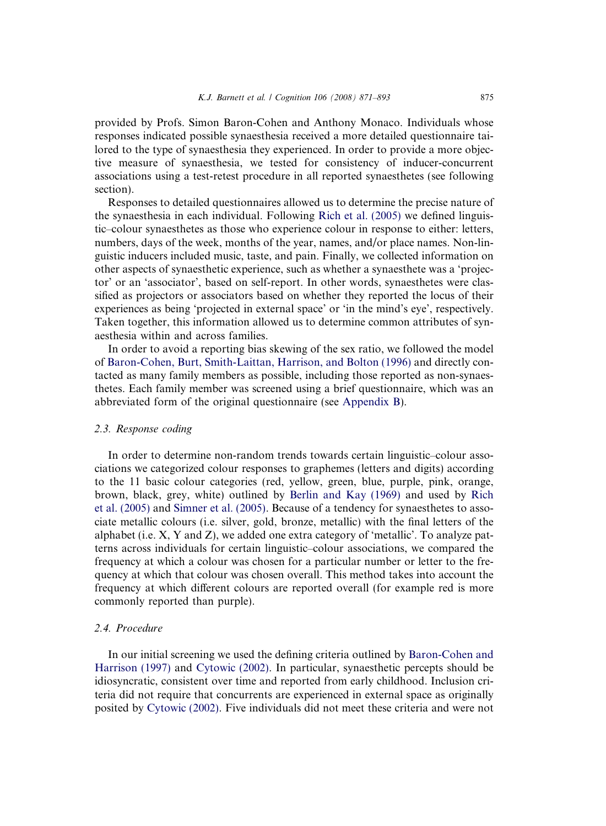provided by Profs. Simon Baron-Cohen and Anthony Monaco. Individuals whose responses indicated possible synaesthesia received a more detailed questionnaire tailored to the type of synaesthesia they experienced. In order to provide a more objective measure of synaesthesia, we tested for consistency of inducer-concurrent associations using a test-retest procedure in all reported synaesthetes (see following section).

Responses to detailed questionnaires allowed us to determine the precise nature of the synaesthesia in each individual. Following [Rich et al. \(2005\)](#page-21-0) we defined linguistic–colour synaesthetes as those who experience colour in response to either: letters, numbers, days of the week, months of the year, names, and/or place names. Non-linguistic inducers included music, taste, and pain. Finally, we collected information on other aspects of synaesthetic experience, such as whether a synaesthete was a 'projector' or an 'associator', based on self-report. In other words, synaesthetes were classified as projectors or associators based on whether they reported the locus of their experiences as being 'projected in external space' or 'in the mind's eye', respectively. Taken together, this information allowed us to determine common attributes of synaesthesia within and across families.

In order to avoid a reporting bias skewing of the sex ratio, we followed the model of [Baron-Cohen, Burt, Smith-Laittan, Harrison, and Bolton \(1996\)](#page-19-0) and directly contacted as many family members as possible, including those reported as non-synaesthetes. Each family member was screened using a brief questionnaire, which was an abbreviated form of the original questionnaire (see Appendix B).

# 2.3. Response coding

In order to determine non-random trends towards certain linguistic–colour associations we categorized colour responses to graphemes (letters and digits) according to the 11 basic colour categories (red, yellow, green, blue, purple, pink, orange, brown, black, grey, white) outlined by [Berlin and Kay \(1969\)](#page-19-0) and used by [Rich](#page-21-0) [et al. \(2005\)](#page-21-0) and [Simner et al. \(2005\).](#page-21-0) Because of a tendency for synaesthetes to associate metallic colours (i.e. silver, gold, bronze, metallic) with the final letters of the alphabet (i.e.  $X$ ,  $Y$  and  $Z$ ), we added one extra category of 'metallic'. To analyze patterns across individuals for certain linguistic–colour associations, we compared the frequency at which a colour was chosen for a particular number or letter to the frequency at which that colour was chosen overall. This method takes into account the frequency at which different colours are reported overall (for example red is more commonly reported than purple).

#### 2.4. Procedure

In our initial screening we used the defining criteria outlined by [Baron-Cohen and](#page-19-0) [Harrison \(1997\)](#page-19-0) and [Cytowic \(2002\).](#page-20-0) In particular, synaesthetic percepts should be idiosyncratic, consistent over time and reported from early childhood. Inclusion criteria did not require that concurrents are experienced in external space as originally posited by [Cytowic \(2002\).](#page-20-0) Five individuals did not meet these criteria and were not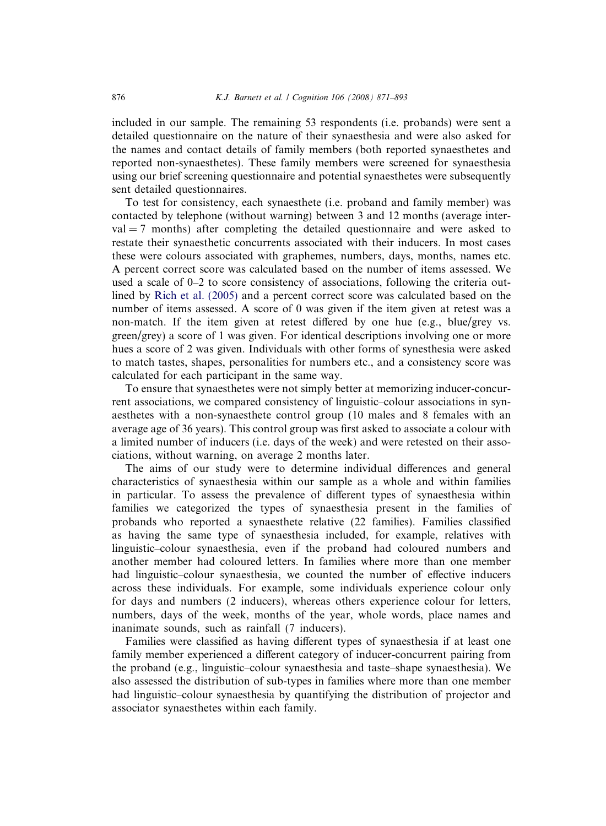included in our sample. The remaining 53 respondents (i.e. probands) were sent a detailed questionnaire on the nature of their synaesthesia and were also asked for the names and contact details of family members (both reported synaesthetes and reported non-synaesthetes). These family members were screened for synaesthesia using our brief screening questionnaire and potential synaesthetes were subsequently sent detailed questionnaires.

To test for consistency, each synaesthete (i.e. proband and family member) was contacted by telephone (without warning) between 3 and 12 months (average inter $val = 7$  months) after completing the detailed questionnaire and were asked to restate their synaesthetic concurrents associated with their inducers. In most cases these were colours associated with graphemes, numbers, days, months, names etc. A percent correct score was calculated based on the number of items assessed. We used a scale of 0–2 to score consistency of associations, following the criteria outlined by [Rich et al. \(2005\)](#page-21-0) and a percent correct score was calculated based on the number of items assessed. A score of 0 was given if the item given at retest was a non-match. If the item given at retest differed by one hue (e.g., blue/grey vs. green/grey) a score of 1 was given. For identical descriptions involving one or more hues a score of 2 was given. Individuals with other forms of synesthesia were asked to match tastes, shapes, personalities for numbers etc., and a consistency score was calculated for each participant in the same way.

To ensure that synaesthetes were not simply better at memorizing inducer-concurrent associations, we compared consistency of linguistic–colour associations in synaesthetes with a non-synaesthete control group (10 males and 8 females with an average age of 36 years). This control group was first asked to associate a colour with a limited number of inducers (i.e. days of the week) and were retested on their associations, without warning, on average 2 months later.

The aims of our study were to determine individual differences and general characteristics of synaesthesia within our sample as a whole and within families in particular. To assess the prevalence of different types of synaesthesia within families we categorized the types of synaesthesia present in the families of probands who reported a synaesthete relative (22 families). Families classified as having the same type of synaesthesia included, for example, relatives with linguistic–colour synaesthesia, even if the proband had coloured numbers and another member had coloured letters. In families where more than one member had linguistic–colour synaesthesia, we counted the number of effective inducers across these individuals. For example, some individuals experience colour only for days and numbers (2 inducers), whereas others experience colour for letters, numbers, days of the week, months of the year, whole words, place names and inanimate sounds, such as rainfall (7 inducers).

Families were classified as having different types of synaesthesia if at least one family member experienced a different category of inducer-concurrent pairing from the proband (e.g., linguistic–colour synaesthesia and taste–shape synaesthesia). We also assessed the distribution of sub-types in families where more than one member had linguistic–colour synaesthesia by quantifying the distribution of projector and associator synaesthetes within each family.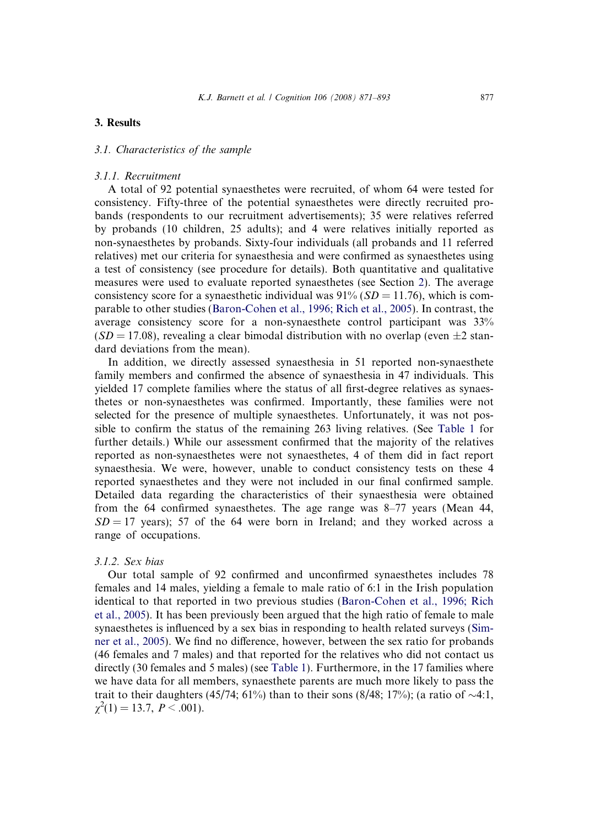#### 3. Results

### 3.1. Characteristics of the sample

#### 3.1.1. Recruitment

A total of 92 potential synaesthetes were recruited, of whom 64 were tested for consistency. Fifty-three of the potential synaesthetes were directly recruited probands (respondents to our recruitment advertisements); 35 were relatives referred by probands (10 children, 25 adults); and 4 were relatives initially reported as non-synaesthetes by probands. Sixty-four individuals (all probands and 11 referred relatives) met our criteria for synaesthesia and were confirmed as synaesthetes using a test of consistency (see procedure for details). Both quantitative and qualitative measures were used to evaluate reported synaesthetes (see Section [2](#page-3-0)). The average consistency score for a synaesthetic individual was  $91\%$  ( $SD = 11.76$ ), which is comparable to other studies ([Baron-Cohen et al., 1996; Rich et al., 2005](#page-19-0)). In contrast, the average consistency score for a non-synaesthete control participant was 33%  $(SD = 17.08)$ , revealing a clear bimodal distribution with no overlap (even  $\pm 2$  standard deviations from the mean).

In addition, we directly assessed synaesthesia in 51 reported non-synaesthete family members and confirmed the absence of synaesthesia in 47 individuals. This yielded 17 complete families where the status of all first-degree relatives as synaesthetes or non-synaesthetes was confirmed. Importantly, these families were not selected for the presence of multiple synaesthetes. Unfortunately, it was not possible to confirm the status of the remaining 263 living relatives. (See [Table 1](#page-7-0) for further details.) While our assessment confirmed that the majority of the relatives reported as non-synaesthetes were not synaesthetes, 4 of them did in fact report synaesthesia. We were, however, unable to conduct consistency tests on these 4 reported synaesthetes and they were not included in our final confirmed sample. Detailed data regarding the characteristics of their synaesthesia were obtained from the 64 confirmed synaesthetes. The age range was 8–77 years (Mean 44,  $SD = 17$  years); 57 of the 64 were born in Ireland; and they worked across a range of occupations.

# 3.1.2. Sex bias

Our total sample of 92 confirmed and unconfirmed synaesthetes includes 78 females and 14 males, yielding a female to male ratio of 6:1 in the Irish population identical to that reported in two previous studies ([Baron-Cohen et al., 1996; Rich](#page-19-0) [et al., 2005](#page-19-0)). It has been previously been argued that the high ratio of female to male synaesthetes is influenced by a sex bias in responding to health related surveys ([Sim](#page-21-0)[ner et al., 2005](#page-21-0)). We find no difference, however, between the sex ratio for probands (46 females and 7 males) and that reported for the relatives who did not contact us directly (30 females and 5 males) (see [Table 1](#page-7-0)). Furthermore, in the 17 families where we have data for all members, synaesthete parents are much more likely to pass the trait to their daughters (45/74; 61%) than to their sons (8/48; 17%); (a ratio of  $\sim$ 4:1,  $\chi^2(1) = 13.7, P < .001$ ).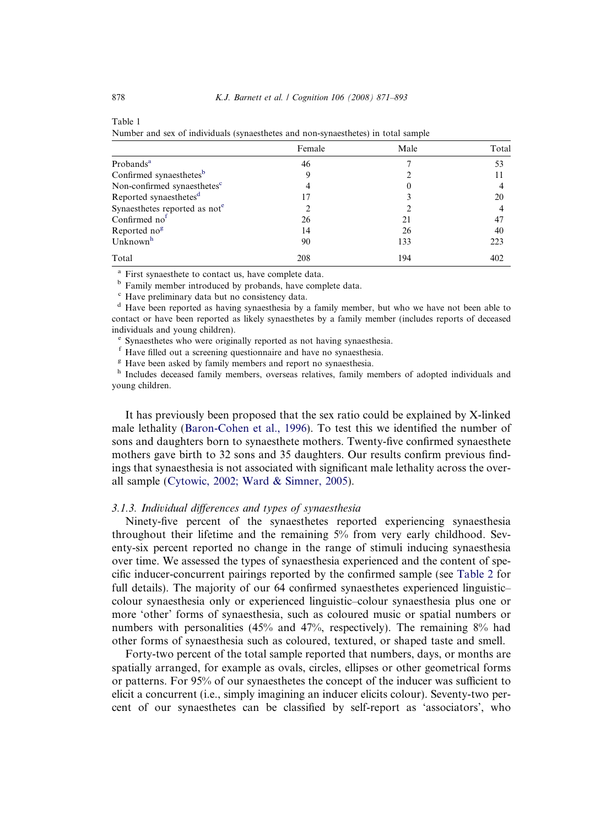|                                           | Female | Male | Total |
|-------------------------------------------|--------|------|-------|
| Probands <sup>a</sup>                     | 46     |      | 53    |
| Confirmed synaesthetes <sup>b</sup>       |        |      |       |
| Non-confirmed synaesthetes <sup>c</sup>   |        |      |       |
| Reported synaesthetes <sup>d</sup>        | 17     |      | 20    |
| Synaesthetes reported as not <sup>e</sup> |        |      |       |
| Confirmed $nof$                           | 26     | 21   | 47    |
| Reported no <sup>g</sup>                  | 14     | 26   | 40    |
| Unknown <sup>h</sup>                      | 90     | 133  | 223   |
| Total                                     | 208    | 194  | 402   |

|  |  |  | Number and sex of individuals (synaesthetes and non-synaesthetes) in total sample |  |  |
|--|--|--|-----------------------------------------------------------------------------------|--|--|
|  |  |  |                                                                                   |  |  |
|  |  |  |                                                                                   |  |  |

<sup>a</sup> First synaesthete to contact us, have complete data.

<sup>b</sup> Family member introduced by probands, have complete data.

 $c<sup>c</sup>$  Have preliminary data but no consistency data.<br>d Have been reported as having synaesthesia by a family member, but who we have not been able to contact or have been reported as likely synaesthetes by a family member (includes reports of deceased individuals and young children).

<sup>e</sup> Synaesthetes who were originally reported as not having synaesthesia.

<sup>f</sup> Have filled out a screening questionnaire and have no synaesthesia.  $\frac{g}{f}$  Have been asked by family members and report no synaesthesia.

h Includes deceased family members, overseas relatives, family members of adopted individuals and young children.

It has previously been proposed that the sex ratio could be explained by X-linked male lethality [\(Baron-Cohen et al., 1996\)](#page-19-0). To test this we identified the number of sons and daughters born to synaesthete mothers. Twenty-five confirmed synaesthete mothers gave birth to 32 sons and 35 daughters. Our results confirm previous findings that synaesthesia is not associated with significant male lethality across the overall sample ([Cytowic, 2002; Ward & Simner, 2005\)](#page-20-0).

#### 3.1.3. Individual differences and types of synaesthesia

Ninety-five percent of the synaesthetes reported experiencing synaesthesia throughout their lifetime and the remaining 5% from very early childhood. Seventy-six percent reported no change in the range of stimuli inducing synaesthesia over time. We assessed the types of synaesthesia experienced and the content of specific inducer-concurrent pairings reported by the confirmed sample (see [Table 2](#page-8-0) for full details). The majority of our 64 confirmed synaesthetes experienced linguistic– colour synaesthesia only or experienced linguistic–colour synaesthesia plus one or more 'other' forms of synaesthesia, such as coloured music or spatial numbers or numbers with personalities (45% and 47%, respectively). The remaining 8% had other forms of synaesthesia such as coloured, textured, or shaped taste and smell.

Forty-two percent of the total sample reported that numbers, days, or months are spatially arranged, for example as ovals, circles, ellipses or other geometrical forms or patterns. For 95% of our synaesthetes the concept of the inducer was sufficient to elicit a concurrent (i.e., simply imagining an inducer elicits colour). Seventy-two percent of our synaesthetes can be classified by self-report as 'associators', who

<span id="page-7-0"></span>

Table 1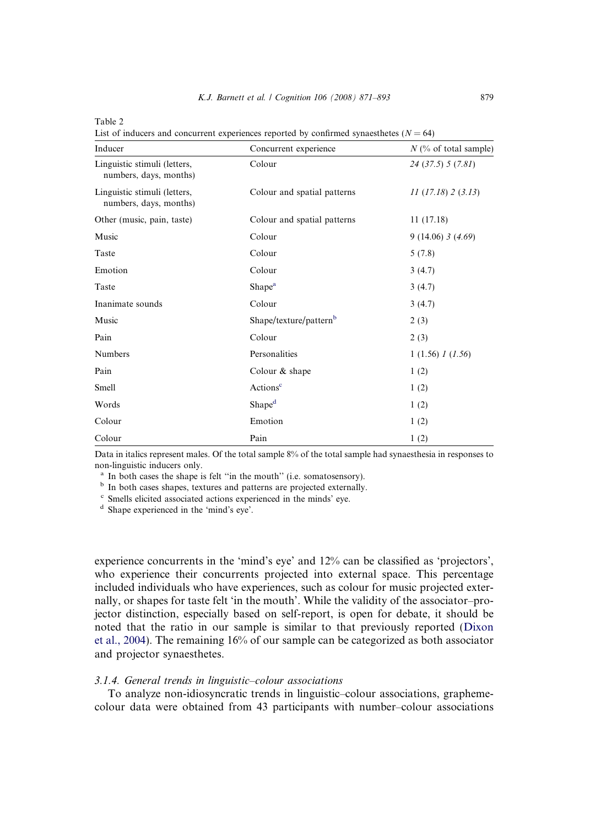| Inducer                                                | Concurrent experience              | $N$ (% of total sample) |  |  |
|--------------------------------------------------------|------------------------------------|-------------------------|--|--|
| Linguistic stimuli (letters,<br>numbers, days, months) | Colour                             | 24(37.5) 5(7.81)        |  |  |
| Linguistic stimuli (letters,<br>numbers, days, months) | Colour and spatial patterns        | 11(17.18) 2(3.13)       |  |  |
| Other (music, pain, taste)                             | Colour and spatial patterns        | 11(17.18)               |  |  |
| Music                                                  | Colour                             | $9(14.06)$ 3 (4.69)     |  |  |
| Taste                                                  | Colour                             | 5(7.8)                  |  |  |
| Emotion                                                | Colour                             | 3(4.7)                  |  |  |
| Taste                                                  | Shape <sup>a</sup>                 | 3(4.7)                  |  |  |
| Inanimate sounds                                       | Colour                             | 3(4.7)                  |  |  |
| Music                                                  | Shape/texture/pattern <sup>b</sup> | 2(3)                    |  |  |
| Pain                                                   | Colour                             | 2(3)                    |  |  |
| Numbers                                                | Personalities                      | 1(1.56) I(1.56)         |  |  |
| Pain                                                   | Colour $&$ shape                   | 1(2)                    |  |  |
| Smell                                                  | Actions <sup>c</sup>               | 1(2)                    |  |  |
| Words                                                  | Shape <sup>d</sup>                 | 1(2)                    |  |  |
| Colour                                                 | Emotion                            | 1(2)                    |  |  |
| Colour                                                 | Pain                               | 1(2)                    |  |  |

List of inducers and concurrent experiences reported by confirmed synaesthetes ( $N = 64$ )

Data in italics represent males. Of the total sample 8% of the total sample had synaesthesia in responses to non-linguistic inducers only.

<sup>a</sup> In both cases the shape is felt "in the mouth" (i.e. somatosensory).

<sup>b</sup> In both cases shapes, textures and patterns are projected externally.

<sup>c</sup> Smells elicited associated actions experienced in the minds' eye.

<sup>d</sup> Shape experienced in the 'mind's eye'.

<span id="page-8-0"></span>Table 2

experience concurrents in the 'mind's eye' and 12% can be classified as 'projectors', who experience their concurrents projected into external space. This percentage included individuals who have experiences, such as colour for music projected externally, or shapes for taste felt 'in the mouth'. While the validity of the associator–projector distinction, especially based on self-report, is open for debate, it should be noted that the ratio in our sample is similar to that previously reported ([Dixon](#page-20-0) [et al., 2004\)](#page-20-0). The remaining 16% of our sample can be categorized as both associator and projector synaesthetes.

### 3.1.4. General trends in linguistic–colour associations

To analyze non-idiosyncratic trends in linguistic–colour associations, graphemecolour data were obtained from 43 participants with number–colour associations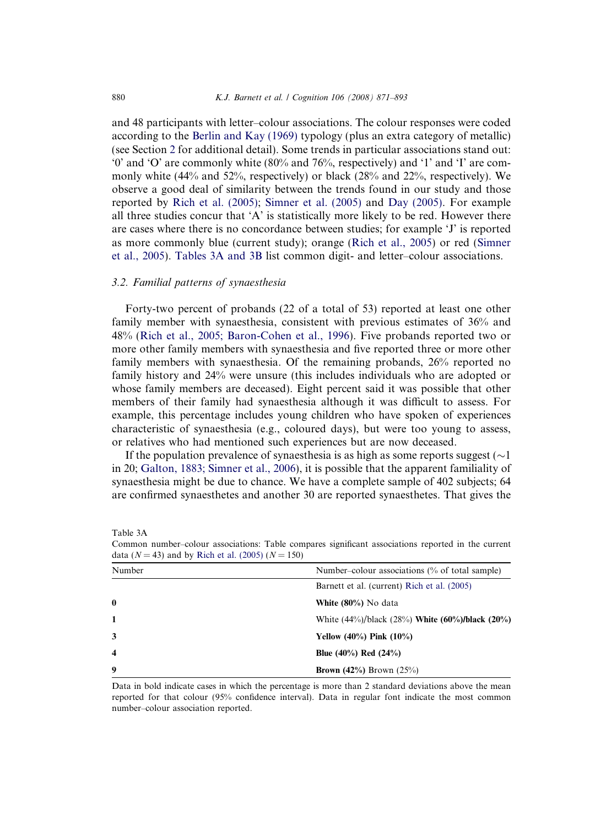and 48 participants with letter–colour associations. The colour responses were coded according to the [Berlin and Kay \(1969\)](#page-19-0) typology (plus an extra category of metallic) (see Section [2](#page-3-0) for additional detail). Some trends in particular associations stand out: '0' and 'O' are commonly white (80% and 76%, respectively) and '1' and 'I' are commonly white (44% and 52%, respectively) or black (28% and 22%, respectively). We observe a good deal of similarity between the trends found in our study and those reported by [Rich et al. \(2005\);](#page-21-0) [Simner et al. \(2005\)](#page-21-0) and [Day \(2005\).](#page-20-0) For example all three studies concur that 'A' is statistically more likely to be red. However there are cases where there is no concordance between studies; for example 'J' is reported as more commonly blue (current study); orange [\(Rich et al., 2005](#page-21-0)) or red [\(Simner](#page-21-0) [et al., 2005\)](#page-21-0). Tables 3A and 3B list common digit- and letter–colour associations.

# 3.2. Familial patterns of synaesthesia

Forty-two percent of probands (22 of a total of 53) reported at least one other family member with synaesthesia, consistent with previous estimates of 36% and 48% ([Rich et al., 2005; Baron-Cohen et al., 1996](#page-21-0)). Five probands reported two or more other family members with synaesthesia and five reported three or more other family members with synaesthesia. Of the remaining probands, 26% reported no family history and 24% were unsure (this includes individuals who are adopted or whose family members are deceased). Eight percent said it was possible that other members of their family had synaesthesia although it was difficult to assess. For example, this percentage includes young children who have spoken of experiences characteristic of synaesthesia (e.g., coloured days), but were too young to assess, or relatives who had mentioned such experiences but are now deceased.

If the population prevalence of synaesthesia is as high as some reports suggest  $(\sim]$ in 20; [Galton, 1883; Simner et al., 2006\)](#page-20-0), it is possible that the apparent familiality of synaesthesia might be due to chance. We have a complete sample of 402 subjects; 64 are confirmed synaesthetes and another 30 are reported synaesthetes. That gives the

Table 3A

Common number–colour associations: Table compares significant associations reported in the current data ( $N = 43$ ) and by [Rich et al. \(2005\)](#page-21-0) ( $N = 150$ )

| Number                  | Number-colour associations $\frac{0}{0}$ of total sample)     |  |  |
|-------------------------|---------------------------------------------------------------|--|--|
|                         | Barnett et al. (current) Rich et al. (2005)                   |  |  |
| $\mathbf{0}$            | White $(80\%)$ No data                                        |  |  |
| $\mathbf{1}$            | White $(44\%)$ /black $(28\%)$ White $(60\%)$ /black $(20\%)$ |  |  |
| 3                       | Yellow $(40\%)$ Pink $(10\%)$                                 |  |  |
| $\overline{\mathbf{4}}$ | Blue $(40\%)$ Red $(24\%)$                                    |  |  |
| 9                       | <b>Brown (42%)</b> Brown (25%)                                |  |  |
|                         |                                                               |  |  |

Data in bold indicate cases in which the percentage is more than 2 standard deviations above the mean reported for that colour (95% confidence interval). Data in regular font indicate the most common number–colour association reported.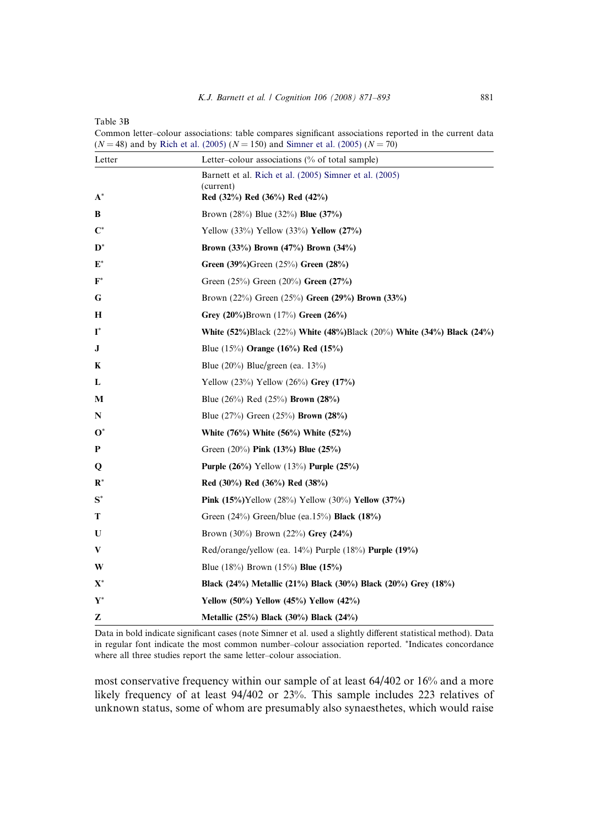Table 3B

Common letter–colour associations: table compares significant associations reported in the current data  $(N = 48)$  and by [Rich et al. \(2005\)](#page-21-0)  $(N = 150)$  and [Simner et al. \(2005\)](#page-21-0)  $(N = 70)$ 

| Letter         | Letter-colour associations $\frac{0}{0}$ of total sample)             |
|----------------|-----------------------------------------------------------------------|
|                | Barnett et al. Rich et al. (2005) Simner et al. (2005)                |
| ${\bf A}^*$    | (current)<br>Red (32%) Red (36%) Red (42%)                            |
| В              | Brown $(28\%)$ Blue $(32\%)$ Blue $(37\%)$                            |
| $\mathbf{C}^*$ | Yellow $(33\%)$ Yellow $(33\%)$ Yellow $(27\%)$                       |
| $\mathbf{D}^*$ | Brown $(33\%)$ Brown $(47\%)$ Brown $(34\%)$                          |
| ${\bf E}^*$    | Green (39%)Green (25%) Green (28%)                                    |
| $\mathbf{F}^*$ | Green (25%) Green (20%) Green (27%)                                   |
| G              | Brown (22%) Green (25%) Green (29%) Brown (33%)                       |
| H              | Grey $(20\%)$ Brown $(17\%)$ Green $(26\%)$                           |
| $\mathbf{I}^*$ | White (52%)Black (22%) White (48%)Black (20%) White (34%) Black (24%) |
| J              | Blue $(15\%)$ Orange $(16\%)$ Red $(15\%)$                            |
| K              | Blue $(20\%)$ Blue/green (ea. 13%)                                    |
| L              | Yellow $(23\%)$ Yellow $(26\%)$ Grey $(17\%)$                         |
| M              | Blue $(26\%)$ Red $(25\%)$ Brown $(28\%)$                             |
| N              | Blue $(27%)$ Green $(25%)$ Brown $(28%)$                              |
| $O^*$          | White (76%) White (56%) White (52%)                                   |
| P              | Green $(20\%)$ Pink $(13\%)$ Blue $(25\%)$                            |
| Q              | <b>Purple (26%)</b> Yellow (13%) <b>Purple (25%)</b>                  |
| ${\bf R}^*$    | Red (30%) Red (36%) Red (38%)                                         |
| $S^*$          | <b>Pink (15%)</b> Yellow (28%) Yellow (30%) Yellow (37%)              |
| т              | Green $(24\%)$ Green/blue (ea.15%) <b>Black (18%)</b>                 |
| U              | Brown $(30\%)$ Brown $(22\%)$ Grey $(24\%)$                           |
| V              | Red/orange/yellow (ea. $14\%$ ) Purple (18%) Purple (19%)             |
| W              | Blue $(18\%)$ Brown $(15\%)$ Blue $(15\%)$                            |
| ${\bf X}^*$    | Black (24%) Metallic (21%) Black (30%) Black (20%) Grey (18%)         |
| ${\bf Y}^*$    | Yellow (50%) Yellow (45%) Yellow (42%)                                |
| z              | Metallic (25%) Black (30%) Black (24%)                                |

Data in bold indicate significant cases (note Simner et al. used a slightly different statistical method). Data in regular font indicate the most common number–colour association reported. \*Indicates concordance where all three studies report the same letter–colour association.

most conservative frequency within our sample of at least 64/402 or 16% and a more likely frequency of at least 94/402 or 23%. This sample includes 223 relatives of unknown status, some of whom are presumably also synaesthetes, which would raise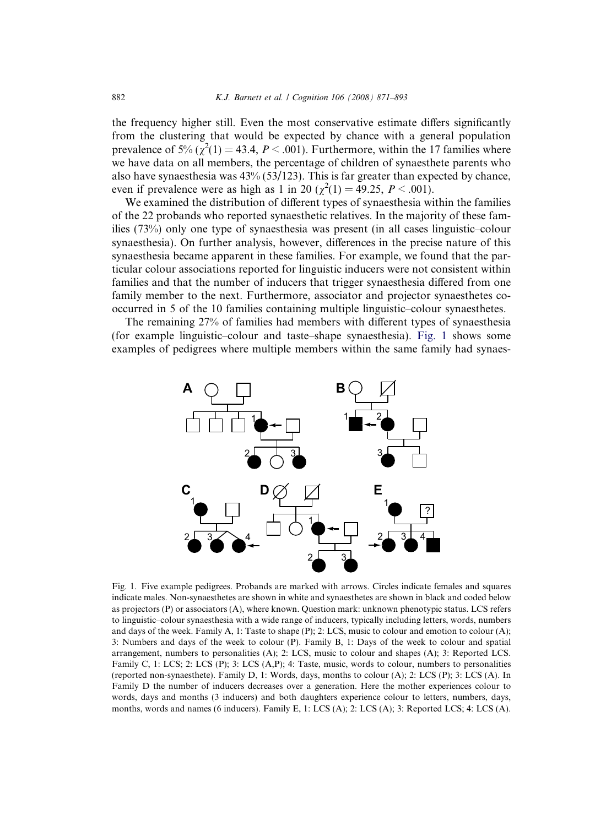the frequency higher still. Even the most conservative estimate differs significantly from the clustering that would be expected by chance with a general population prevalence of 5% ( $\chi^2(1) = 43.4$ ,  $P < .001$ ). Furthermore, within the 17 families where we have data on all members, the percentage of children of synaesthete parents who also have synaesthesia was 43% (53/123). This is far greater than expected by chance, even if prevalence were as high as 1 in 20 ( $\chi^2(1) = 49.25$ ,  $P < .001$ ).

We examined the distribution of different types of synaesthesia within the families of the 22 probands who reported synaesthetic relatives. In the majority of these families (73%) only one type of synaesthesia was present (in all cases linguistic–colour synaesthesia). On further analysis, however, differences in the precise nature of this synaesthesia became apparent in these families. For example, we found that the particular colour associations reported for linguistic inducers were not consistent within families and that the number of inducers that trigger synaesthesia differed from one family member to the next. Furthermore, associator and projector synaesthetes cooccurred in 5 of the 10 families containing multiple linguistic–colour synaesthetes.

The remaining 27% of families had members with different types of synaesthesia (for example linguistic–colour and taste–shape synaesthesia). Fig. 1 shows some examples of pedigrees where multiple members within the same family had synaes-



Fig. 1. Five example pedigrees. Probands are marked with arrows. Circles indicate females and squares indicate males. Non-synaesthetes are shown in white and synaesthetes are shown in black and coded below as projectors (P) or associators (A), where known. Question mark: unknown phenotypic status. LCS refers to linguistic–colour synaesthesia with a wide range of inducers, typically including letters, words, numbers and days of the week. Family A, 1: Taste to shape (P); 2: LCS, music to colour and emotion to colour (A); 3: Numbers and days of the week to colour (P). Family B, 1: Days of the week to colour and spatial arrangement, numbers to personalities (A); 2: LCS, music to colour and shapes (A); 3: Reported LCS. Family C, 1: LCS; 2: LCS (P); 3: LCS (A,P); 4: Taste, music, words to colour, numbers to personalities (reported non-synaesthete). Family D, 1: Words, days, months to colour (A); 2: LCS (P); 3: LCS (A). In Family D the number of inducers decreases over a generation. Here the mother experiences colour to words, days and months (3 inducers) and both daughters experience colour to letters, numbers, days, months, words and names (6 inducers). Family E, 1: LCS (A); 2: LCS (A); 3: Reported LCS; 4: LCS (A).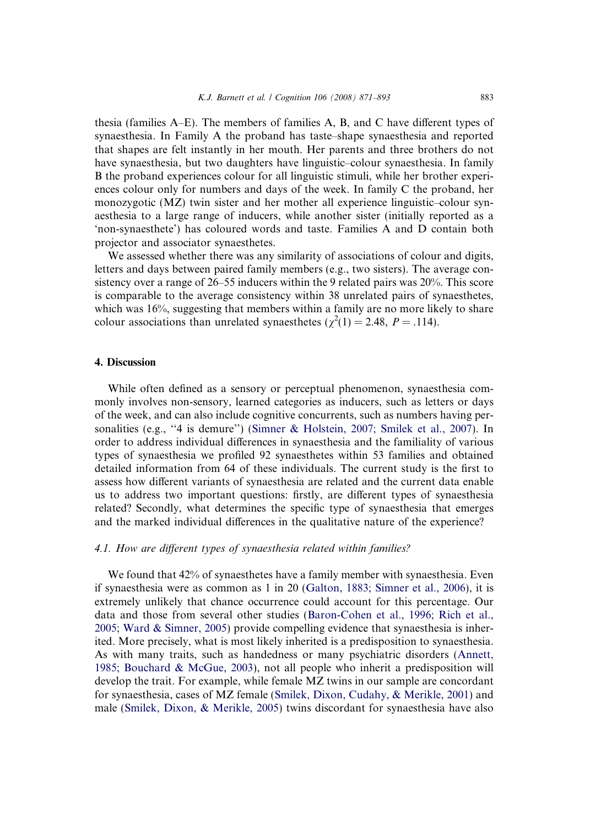thesia (families  $A$ –E). The members of families A, B, and C have different types of synaesthesia. In Family A the proband has taste–shape synaesthesia and reported that shapes are felt instantly in her mouth. Her parents and three brothers do not have synaesthesia, but two daughters have linguistic–colour synaesthesia. In family B the proband experiences colour for all linguistic stimuli, while her brother experiences colour only for numbers and days of the week. In family C the proband, her monozygotic (MZ) twin sister and her mother all experience linguistic–colour synaesthesia to a large range of inducers, while another sister (initially reported as a 'non-synaesthete') has coloured words and taste. Families A and D contain both projector and associator synaesthetes.

We assessed whether there was any similarity of associations of colour and digits, letters and days between paired family members (e.g., two sisters). The average consistency over a range of 26–55 inducers within the 9 related pairs was 20%. This score is comparable to the average consistency within 38 unrelated pairs of synaesthetes, which was 16%, suggesting that members within a family are no more likely to share colour associations than unrelated synaesthetes ( $\chi^2(1) = 2.48$ ,  $P = .114$ ).

### 4. Discussion

While often defined as a sensory or perceptual phenomenon, synaesthesia commonly involves non-sensory, learned categories as inducers, such as letters or days of the week, and can also include cognitive concurrents, such as numbers having per-sonalities (e.g., "4 is demure") ([Simner & Holstein, 2007; Smilek et al., 2007](#page-21-0)). In order to address individual differences in synaesthesia and the familiality of various types of synaesthesia we profiled 92 synaesthetes within 53 families and obtained detailed information from 64 of these individuals. The current study is the first to assess how different variants of synaesthesia are related and the current data enable us to address two important questions: firstly, are different types of synaesthesia related? Secondly, what determines the specific type of synaesthesia that emerges and the marked individual differences in the qualitative nature of the experience?

# 4.1. How are different types of synaesthesia related within families?

We found that  $42\%$  of synaesthetes have a family member with synaesthesia. Even if synaesthesia were as common as 1 in 20 ([Galton, 1883; Simner et al., 2006](#page-20-0)), it is extremely unlikely that chance occurrence could account for this percentage. Our data and those from several other studies [\(Baron-Cohen et al., 1996; Rich et al.,](#page-19-0) [2005; Ward & Simner, 2005\)](#page-19-0) provide compelling evidence that synaesthesia is inherited. More precisely, what is most likely inherited is a predisposition to synaesthesia. As with many traits, such as handedness or many psychiatric disorders [\(Annett,](#page-19-0) [1985; Bouchard & McGue, 2003\)](#page-19-0), not all people who inherit a predisposition will develop the trait. For example, while female MZ twins in our sample are concordant for synaesthesia, cases of MZ female ([Smilek, Dixon, Cudahy, & Merikle, 2001\)](#page-21-0) and male ([Smilek, Dixon, & Merikle, 2005\)](#page-21-0) twins discordant for synaesthesia have also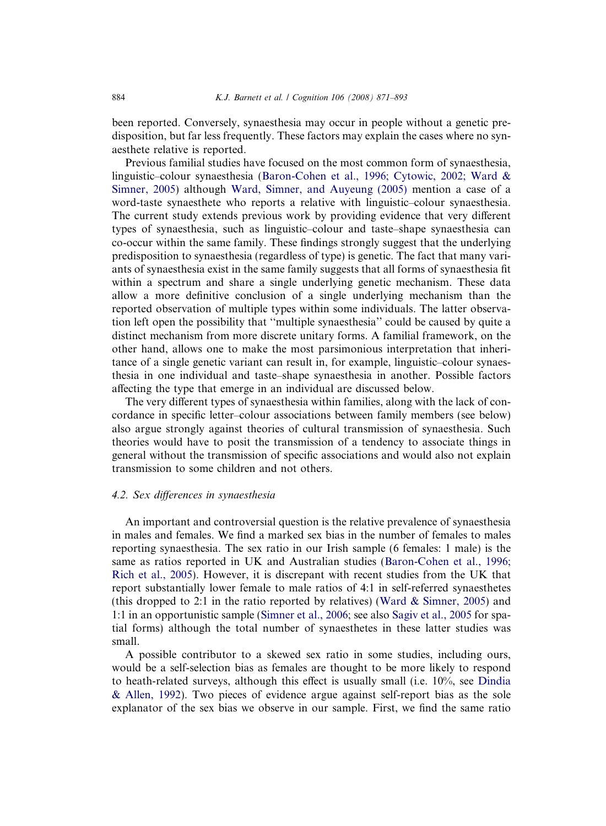been reported. Conversely, synaesthesia may occur in people without a genetic predisposition, but far less frequently. These factors may explain the cases where no synaesthete relative is reported.

Previous familial studies have focused on the most common form of synaesthesia, linguistic–colour synaesthesia ([Baron-Cohen et al., 1996; Cytowic, 2002; Ward &](#page-19-0) [Simner, 2005\)](#page-19-0) although [Ward, Simner, and Auyeung \(2005\)](#page-22-0) mention a case of a word-taste synaesthete who reports a relative with linguistic–colour synaesthesia. The current study extends previous work by providing evidence that very different types of synaesthesia, such as linguistic–colour and taste–shape synaesthesia can co-occur within the same family. These findings strongly suggest that the underlying predisposition to synaesthesia (regardless of type) is genetic. The fact that many variants of synaesthesia exist in the same family suggests that all forms of synaesthesia fit within a spectrum and share a single underlying genetic mechanism. These data allow a more definitive conclusion of a single underlying mechanism than the reported observation of multiple types within some individuals. The latter observation left open the possibility that ''multiple synaesthesia'' could be caused by quite a distinct mechanism from more discrete unitary forms. A familial framework, on the other hand, allows one to make the most parsimonious interpretation that inheritance of a single genetic variant can result in, for example, linguistic–colour synaesthesia in one individual and taste–shape synaesthesia in another. Possible factors affecting the type that emerge in an individual are discussed below.

The very different types of synaesthesia within families, along with the lack of concordance in specific letter–colour associations between family members (see below) also argue strongly against theories of cultural transmission of synaesthesia. Such theories would have to posit the transmission of a tendency to associate things in general without the transmission of specific associations and would also not explain transmission to some children and not others.

#### 4.2. Sex differences in synaesthesia

An important and controversial question is the relative prevalence of synaesthesia in males and females. We find a marked sex bias in the number of females to males reporting synaesthesia. The sex ratio in our Irish sample (6 females: 1 male) is the same as ratios reported in UK and Australian studies ([Baron-Cohen et al., 1996;](#page-19-0) [Rich et al., 2005\)](#page-19-0). However, it is discrepant with recent studies from the UK that report substantially lower female to male ratios of 4:1 in self-referred synaesthetes (this dropped to 2:1 in the ratio reported by relatives) (Ward  $\&$  Simner, 2005) and 1:1 in an opportunistic sample [\(Simner et al., 2006;](#page-21-0) see also [Sagiv et al., 2005](#page-21-0) for spatial forms) although the total number of synaesthetes in these latter studies was small.

A possible contributor to a skewed sex ratio in some studies, including ours, would be a self-selection bias as females are thought to be more likely to respond to heath-related surveys, although this effect is usually small (i.e. 10%, see [Dindia](#page-20-0) [& Allen, 1992\)](#page-20-0). Two pieces of evidence argue against self-report bias as the sole explanator of the sex bias we observe in our sample. First, we find the same ratio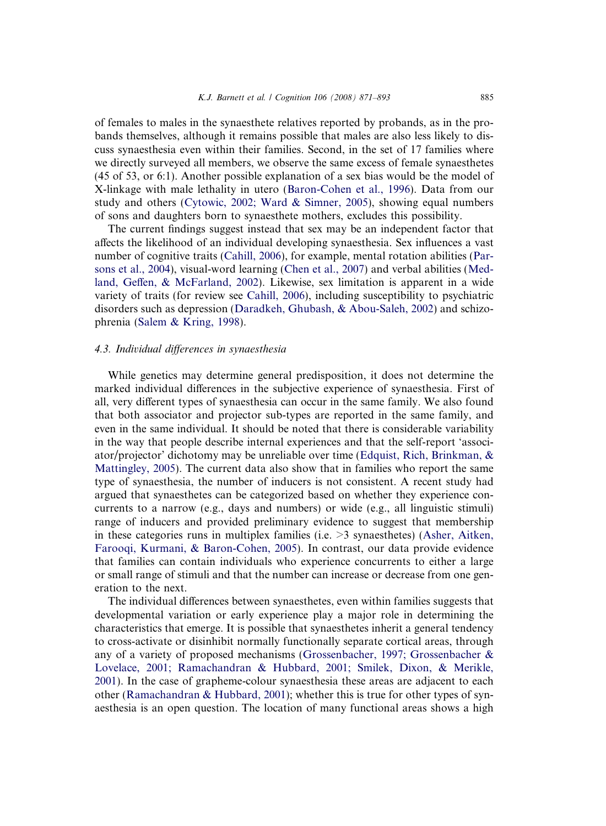of females to males in the synaesthete relatives reported by probands, as in the probands themselves, although it remains possible that males are also less likely to discuss synaesthesia even within their families. Second, in the set of 17 families where we directly surveyed all members, we observe the same excess of female synaesthetes (45 of 53, or 6:1). Another possible explanation of a sex bias would be the model of X-linkage with male lethality in utero [\(Baron-Cohen et al., 1996\)](#page-19-0). Data from our study and others (Cytowic, 2002; Ward  $\&$  Simner, 2005), showing equal numbers of sons and daughters born to synaesthete mothers, excludes this possibility.

The current findings suggest instead that sex may be an independent factor that affects the likelihood of an individual developing synaesthesia. Sex influences a vast number of cognitive traits [\(Cahill, 2006\)](#page-19-0), for example, mental rotation abilities [\(Par](#page-21-0)[sons et al., 2004](#page-21-0)), visual-word learning ([Chen et al., 2007](#page-20-0)) and verbal abilities ([Med](#page-20-0)[land, Geffen, & McFarland, 2002](#page-20-0)). Likewise, sex limitation is apparent in a wide variety of traits (for review see [Cahill, 2006\)](#page-19-0), including susceptibility to psychiatric disorders such as depression ([Daradkeh, Ghubash, & Abou-Saleh, 2002\)](#page-20-0) and schizophrenia [\(Salem & Kring, 1998](#page-21-0)).

### 4.3. Individual differences in synaesthesia

While genetics may determine general predisposition, it does not determine the marked individual differences in the subjective experience of synaesthesia. First of all, very different types of synaesthesia can occur in the same family. We also found that both associator and projector sub-types are reported in the same family, and even in the same individual. It should be noted that there is considerable variability in the way that people describe internal experiences and that the self-report 'associator/projector' dichotomy may be unreliable over time [\(Edquist, Rich, Brinkman, &](#page-20-0) [Mattingley, 2005\)](#page-20-0). The current data also show that in families who report the same type of synaesthesia, the number of inducers is not consistent. A recent study had argued that synaesthetes can be categorized based on whether they experience concurrents to a narrow (e.g., days and numbers) or wide (e.g., all linguistic stimuli) range of inducers and provided preliminary evidence to suggest that membership in these categories runs in multiplex families (i.e. >3 synaesthetes) [\(Asher, Aitken,](#page-19-0) [Farooqi, Kurmani, & Baron-Cohen, 2005\)](#page-19-0). In contrast, our data provide evidence that families can contain individuals who experience concurrents to either a large or small range of stimuli and that the number can increase or decrease from one generation to the next.

The individual differences between synaesthetes, even within families suggests that developmental variation or early experience play a major role in determining the characteristics that emerge. It is possible that synaesthetes inherit a general tendency to cross-activate or disinhibit normally functionally separate cortical areas, through any of a variety of proposed mechanisms [\(Grossenbacher, 1997; Grossenbacher &](#page-20-0) [Lovelace, 2001; Ramachandran & Hubbard, 2001; Smilek, Dixon, & Merikle,](#page-20-0) [2001\)](#page-20-0). In the case of grapheme-colour synaesthesia these areas are adjacent to each other (Ramachandran  $\&$  Hubbard, 2001); whether this is true for other types of synaesthesia is an open question. The location of many functional areas shows a high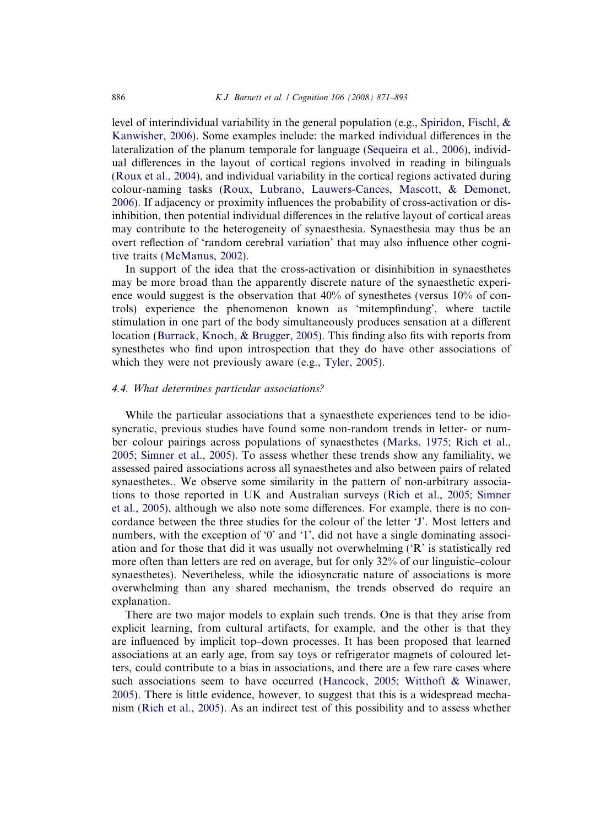level of interindividual variability in the general population (e.g., [Spiridon, Fischl, &](#page-21-0) [Kanwisher, 2006\)](#page-21-0). Some examples include: the marked individual differences in the lateralization of the planum temporale for language [\(Sequeira et al., 2006](#page-21-0)), individual differences in the layout of cortical regions involved in reading in bilinguals ([Roux et al., 2004](#page-21-0)), and individual variability in the cortical regions activated during colour-naming tasks ([Roux, Lubrano, Lauwers-Cances, Mascott, & Demonet,](#page-21-0) [2006\)](#page-21-0). If adjacency or proximity influences the probability of cross-activation or disinhibition, then potential individual differences in the relative layout of cortical areas may contribute to the heterogeneity of synaesthesia. Synaesthesia may thus be an overt reflection of 'random cerebral variation' that may also influence other cognitive traits ([McManus, 2002\)](#page-20-0).

In support of the idea that the cross-activation or disinhibition in synaesthetes may be more broad than the apparently discrete nature of the synaesthetic experience would suggest is the observation that  $40\%$  of synesthetes (versus  $10\%$  of controls) experience the phenomenon known as 'mitempfindung', where tactile stimulation in one part of the body simultaneously produces sensation at a different location [\(Burrack, Knoch, & Brugger, 2005](#page-19-0)). This finding also fits with reports from synesthetes who find upon introspection that they do have other associations of which they were not previously aware (e.g., [Tyler, 2005](#page-21-0)).

# 4.4. What determines particular associations?

While the particular associations that a synaesthete experiences tend to be idiosyncratic, previous studies have found some non-random trends in letter- or number–colour pairings across populations of synaesthetes ([Marks, 1975; Rich et al.,](#page-20-0) [2005; Simner et al., 2005](#page-20-0)). To assess whether these trends show any familiality, we assessed paired associations across all synaesthetes and also between pairs of related synaesthetes.. We observe some similarity in the pattern of non-arbitrary associations to those reported in UK and Australian surveys [\(Rich et al., 2005; Simner](#page-21-0) [et al., 2005\)](#page-21-0), although we also note some differences. For example, there is no concordance between the three studies for the colour of the letter 'J'. Most letters and numbers, with the exception of '0' and '1', did not have a single dominating associ-ation and for those that did it was usually not overwhelming ('R' is statistically red more often than letters are red on average, but for only 32% of our linguistic–colour synaesthetes). Nevertheless, while the idiosyncratic nature of associations is more overwhelming than any shared mechanism, the trends observed do require an explanation.

There are two major models to explain such trends. One is that they arise from explicit learning, from cultural artifacts, for example, and the other is that they are influenced by implicit top–down processes. It has been proposed that learned associations at an early age, from say toys or refrigerator magnets of coloured letters, could contribute to a bias in associations, and there are a few rare cases where such associations seem to have occurred [\(Hancock, 2005; Witthoft & Winawer,](#page-20-0) [2005\)](#page-20-0). There is little evidence, however, to suggest that this is a widespread mechanism [\(Rich et al., 2005\)](#page-21-0). As an indirect test of this possibility and to assess whether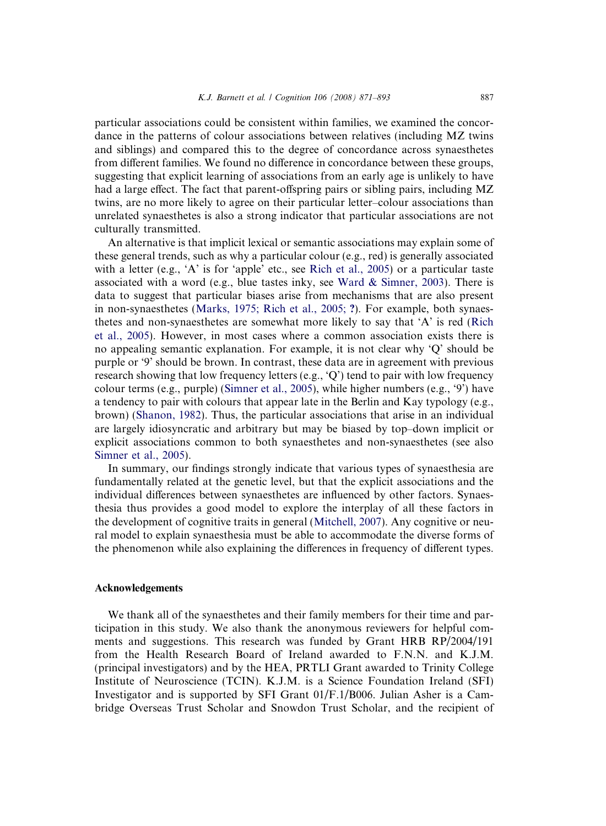particular associations could be consistent within families, we examined the concordance in the patterns of colour associations between relatives (including MZ twins and siblings) and compared this to the degree of concordance across synaesthetes from different families. We found no difference in concordance between these groups, suggesting that explicit learning of associations from an early age is unlikely to have had a large effect. The fact that parent-offspring pairs or sibling pairs, including MZ twins, are no more likely to agree on their particular letter–colour associations than unrelated synaesthetes is also a strong indicator that particular associations are not culturally transmitted.

An alternative is that implicit lexical or semantic associations may explain some of these general trends, such as why a particular colour (e.g., red) is generally associated with a letter (e.g., 'A' is for 'apple' etc., see [Rich et al., 2005](#page-21-0)) or a particular taste associated with a word (e.g., blue tastes inky, see Ward  $&$  Simner, 2003). There is data to suggest that particular biases arise from mechanisms that are also present in non-synaesthetes ([Marks, 1975; Rich et al., 2005;](#page-20-0) ?). For example, both synaesthetes and non-synaesthetes are somewhat more likely to say that 'A' is red [\(Rich](#page-21-0) [et al., 2005](#page-21-0)). However, in most cases where a common association exists there is no appealing semantic explanation. For example, it is not clear why 'Q' should be purple or '9' should be brown. In contrast, these data are in agreement with previous research showing that low frequency letters (e.g.,  $\langle Q \rangle$ ) tend to pair with low frequency colour terms (e.g., purple) ([Simner et al., 2005\)](#page-21-0), while higher numbers (e.g., '9') have a tendency to pair with colours that appear late in the Berlin and Kay typology (e.g., brown) [\(Shanon, 1982\)](#page-21-0). Thus, the particular associations that arise in an individual are largely idiosyncratic and arbitrary but may be biased by top–down implicit or explicit associations common to both synaesthetes and non-synaesthetes (see also [Simner et al., 2005\)](#page-21-0).

In summary, our findings strongly indicate that various types of synaesthesia are fundamentally related at the genetic level, but that the explicit associations and the individual differences between synaesthetes are influenced by other factors. Synaesthesia thus provides a good model to explore the interplay of all these factors in the development of cognitive traits in general [\(Mitchell, 2007\)](#page-20-0). Any cognitive or neural model to explain synaesthesia must be able to accommodate the diverse forms of the phenomenon while also explaining the differences in frequency of different types.

#### Acknowledgements

We thank all of the synaesthetes and their family members for their time and participation in this study. We also thank the anonymous reviewers for helpful comments and suggestions. This research was funded by Grant HRB RP/2004/191 from the Health Research Board of Ireland awarded to F.N.N. and K.J.M. (principal investigators) and by the HEA, PRTLI Grant awarded to Trinity College Institute of Neuroscience (TCIN). K.J.M. is a Science Foundation Ireland (SFI) Investigator and is supported by SFI Grant 01/F.1/B006. Julian Asher is a Cambridge Overseas Trust Scholar and Snowdon Trust Scholar, and the recipient of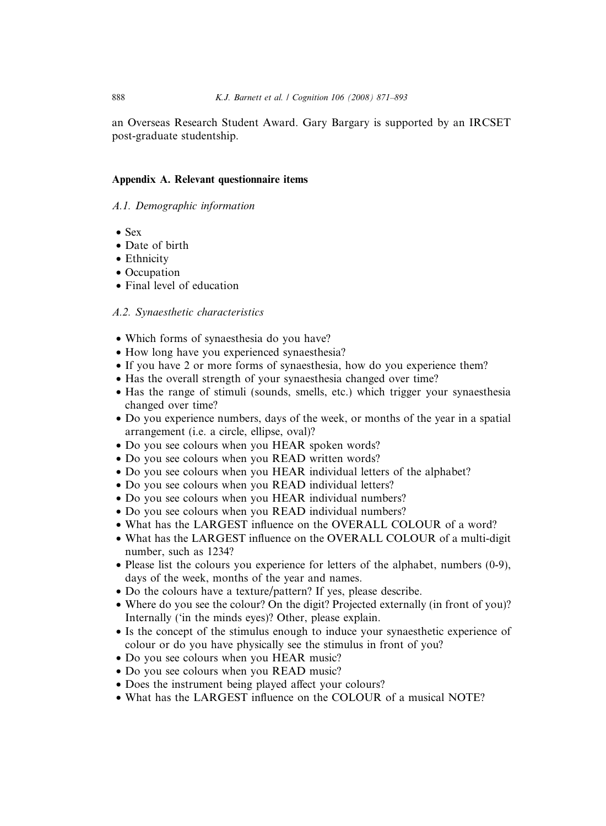an Overseas Research Student Award. Gary Bargary is supported by an IRCSET post-graduate studentship.

# Appendix A. Relevant questionnaire items

# A.1. Demographic information

- Sex
- Date of birth
- Ethnicity
- Occupation
- Final level of education

# A.2. Synaesthetic characteristics

- Which forms of synaesthesia do you have?
- How long have you experienced synaesthesia?
- If you have 2 or more forms of synaesthesia, how do you experience them?
- Has the overall strength of your synaesthesia changed over time?
- Has the range of stimuli (sounds, smells, etc.) which trigger your synaesthesia changed over time?
- Do you experience numbers, days of the week, or months of the year in a spatial arrangement (i.e. a circle, ellipse, oval)?
- Do you see colours when you HEAR spoken words?
- Do you see colours when you READ written words?
- Do you see colours when you HEAR individual letters of the alphabet?
- Do you see colours when you READ individual letters?
- Do you see colours when you HEAR individual numbers?
- Do you see colours when you READ individual numbers?
- What has the LARGEST influence on the OVERALL COLOUR of a word?
- What has the LARGEST influence on the OVERALL COLOUR of a multi-digit number, such as 1234?
- Please list the colours you experience for letters of the alphabet, numbers (0-9), days of the week, months of the year and names.
- Do the colours have a texture/pattern? If yes, please describe.
- Where do you see the colour? On the digit? Projected externally (in front of you)? Internally ('in the minds eyes)? Other, please explain.
- Is the concept of the stimulus enough to induce your synaesthetic experience of colour or do you have physically see the stimulus in front of you?
- Do you see colours when you HEAR music?
- Do you see colours when you READ music?
- Does the instrument being played affect your colours?
- What has the LARGEST influence on the COLOUR of a musical NOTE?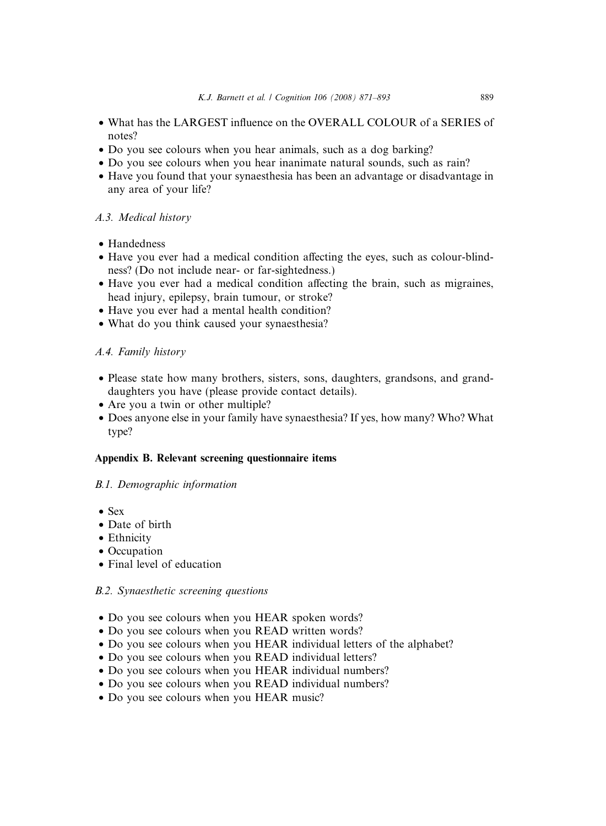- What has the LARGEST influence on the OVERALL COLOUR of a SERIES of notes?
- Do you see colours when you hear animals, such as a dog barking?
- Do you see colours when you hear inanimate natural sounds, such as rain?
- Have you found that your synaesthesia has been an advantage or disadvantage in any area of your life?

# A.3. Medical history

- Handedness
- Have you ever had a medical condition affecting the eyes, such as colour-blindness? (Do not include near- or far-sightedness.)
- Have you ever had a medical condition affecting the brain, such as migraines, head injury, epilepsy, brain tumour, or stroke?
- Have you ever had a mental health condition?
- What do you think caused your synaesthesia?

# A.4. Family history

- Please state how many brothers, sisters, sons, daughters, grandsons, and granddaughters you have (please provide contact details).
- Are you a twin or other multiple?
- Does anyone else in your family have synaesthesia? If yes, how many? Who? What type?

# Appendix B. Relevant screening questionnaire items

# B.1. Demographic information

- Sex
- Date of birth
- Ethnicity
- Occupation
- Final level of education

# B.2. Synaesthetic screening questions

- Do you see colours when you HEAR spoken words?
- Do you see colours when you READ written words?
- Do you see colours when you HEAR individual letters of the alphabet?
- Do you see colours when you READ individual letters?
- Do you see colours when you HEAR individual numbers?
- Do you see colours when you READ individual numbers?
- Do you see colours when you HEAR music?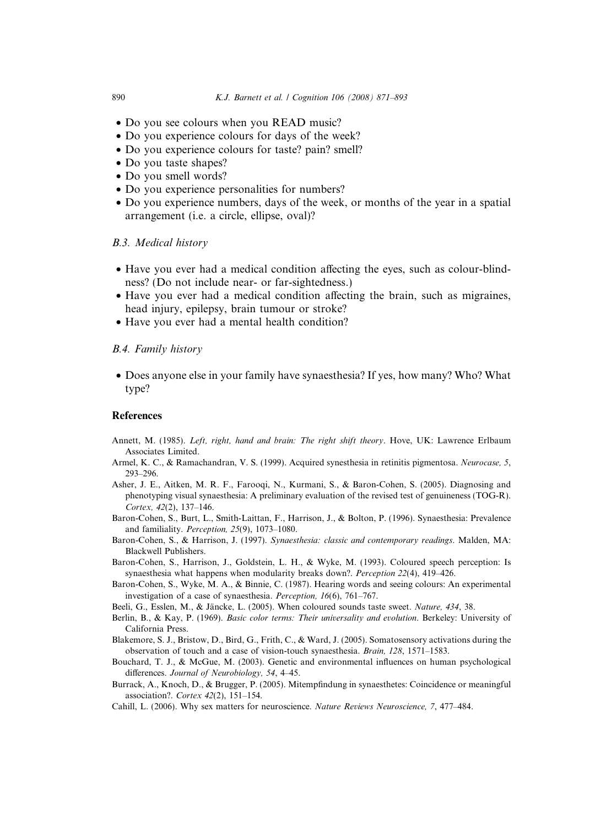- Do you see colours when you READ music?
- Do you experience colours for days of the week?
- Do you experience colours for taste? pain? smell?
- Do you taste shapes?
- Do you smell words?
- Do you experience personalities for numbers?
- Do you experience numbers, days of the week, or months of the year in a spatial arrangement (i.e. a circle, ellipse, oval)?

### B.3. Medical history

- Have you ever had a medical condition affecting the eyes, such as colour-blindness? (Do not include near- or far-sightedness.)
- Have you ever had a medical condition affecting the brain, such as migraines, head injury, epilepsy, brain tumour or stroke?
- Have you ever had a mental health condition?

# B.4. Family history

• Does anyone else in your family have synaesthesia? If yes, how many? Who? What type?

### **References**

- Annett, M. (1985). Left, right, hand and brain: The right shift theory. Hove, UK: Lawrence Erlbaum Associates Limited.
- Armel, K. C., & Ramachandran, V. S. (1999). Acquired synesthesia in retinitis pigmentosa. Neurocase, 5, 293–296.
- Asher, J. E., Aitken, M. R. F., Farooqi, N., Kurmani, S., & Baron-Cohen, S. (2005). Diagnosing and phenotyping visual synaesthesia: A preliminary evaluation of the revised test of genuineness (TOG-R). Cortex, 42(2), 137–146.
- Baron-Cohen, S., Burt, L., Smith-Laittan, F., Harrison, J., & Bolton, P. (1996). Synaesthesia: Prevalence and familiality. Perception, 25(9), 1073–1080.
- Baron-Cohen, S., & Harrison, J. (1997). Synaesthesia: classic and contemporary readings. Malden, MA: Blackwell Publishers.
- Baron-Cohen, S., Harrison, J., Goldstein, L. H., & Wyke, M. (1993). Coloured speech perception: Is synaesthesia what happens when modularity breaks down?. Perception 22(4), 419–426.
- Baron-Cohen, S., Wyke, M. A., & Binnie, C. (1987). Hearing words and seeing colours: An experimental investigation of a case of synaesthesia. Perception, 16(6), 761–767.
- Beeli, G., Esslen, M., & Jäncke, L. (2005). When coloured sounds taste sweet. Nature, 434, 38.
- Berlin, B., & Kay, P. (1969). Basic color terms: Their universality and evolution. Berkeley: University of California Press.
- Blakemore, S. J., Bristow, D., Bird, G., Frith, C., & Ward, J. (2005). Somatosensory activations during the observation of touch and a case of vision-touch synaesthesia. Brain, 128, 1571–1583.
- Bouchard, T. J., & McGue, M. (2003). Genetic and environmental influences on human psychological differences. Journal of Neurobiology, 54, 4–45.
- Burrack, A., Knoch, D., & Brugger, P. (2005). Mitempfindung in synaesthetes: Coincidence or meaningful association?. Cortex 42(2), 151–154.
- Cahill, L. (2006). Why sex matters for neuroscience. Nature Reviews Neuroscience, 7, 477–484.

<span id="page-19-0"></span>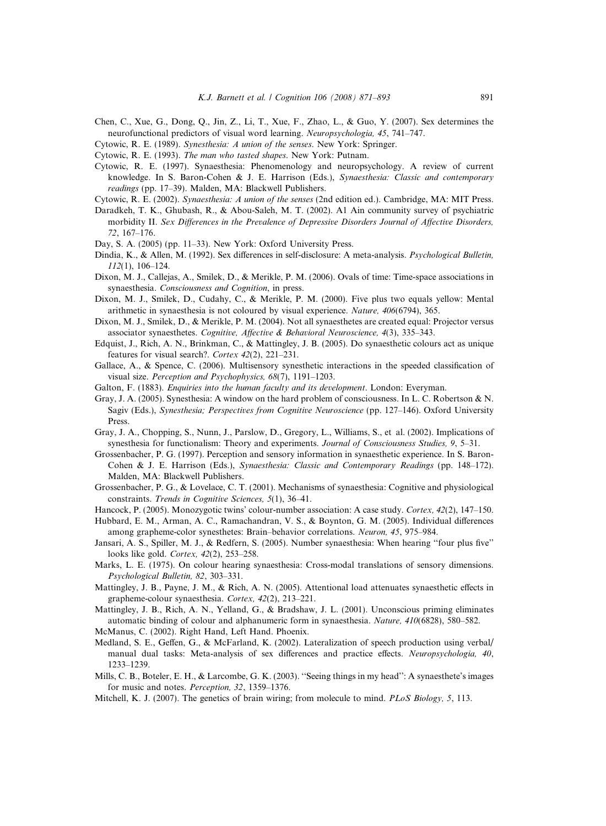- <span id="page-20-0"></span>Chen, C., Xue, G., Dong, Q., Jin, Z., Li, T., Xue, F., Zhao, L., & Guo, Y. (2007). Sex determines the neurofunctional predictors of visual word learning. Neuropsychologia, 45, 741–747.
- Cytowic, R. E. (1989). Synesthesia: A union of the senses. New York: Springer.
- Cytowic, R. E. (1993). The man who tasted shapes. New York: Putnam.
- Cytowic, R. E. (1997). Synaesthesia: Phenomenology and neuropsychology. A review of current knowledge. In S. Baron-Cohen & J. E. Harrison (Eds.), Synaesthesia: Classic and contemporary readings (pp. 17–39). Malden, MA: Blackwell Publishers.
- Cytowic, R. E. (2002). Synaesthesia: A union of the senses (2nd edition ed.). Cambridge, MA: MIT Press.
- Daradkeh, T. K., Ghubash, R., & Abou-Saleh, M. T. (2002). A1 Ain community survey of psychiatric morbidity II. Sex Differences in the Prevalence of Depressive Disorders Journal of Affective Disorders, 72, 167–176.
- Day, S. A. (2005) (pp. 11–33). New York: Oxford University Press.
- Dindia, K., & Allen, M. (1992). Sex differences in self-disclosure: A meta-analysis. Psychological Bulletin, 112(1), 106–124.
- Dixon, M. J., Callejas, A., Smilek, D., & Merikle, P. M. (2006). Ovals of time: Time-space associations in synaesthesia. Consciousness and Cognition, in press.
- Dixon, M. J., Smilek, D., Cudahy, C., & Merikle, P. M. (2000). Five plus two equals yellow: Mental arithmetic in synaesthesia is not coloured by visual experience. Nature, 406(6794), 365.
- Dixon, M. J., Smilek, D., & Merikle, P. M. (2004). Not all synaesthetes are created equal: Projector versus associator synaesthetes. Cognitive, Affective & Behavioral Neuroscience, 4(3), 335–343.
- Edquist, J., Rich, A. N., Brinkman, C., & Mattingley, J. B. (2005). Do synaesthetic colours act as unique features for visual search?. Cortex 42(2), 221–231.
- Gallace, A., & Spence, C. (2006). Multisensory synesthetic interactions in the speeded classification of visual size. Perception and Psychophysics, 68(7), 1191–1203.
- Galton, F. (1883). *Enquiries into the human faculty and its development*. London: Everyman.
- Gray, J. A. (2005). Synesthesia: A window on the hard problem of consciousness. In L. C. Robertson & N. Sagiv (Eds.), Synesthesia; Perspectives from Cognitive Neuroscience (pp. 127–146). Oxford University Press.
- Gray, J. A., Chopping, S., Nunn, J., Parslow, D., Gregory, L., Williams, S., et al. (2002). Implications of synesthesia for functionalism: Theory and experiments. Journal of Consciousness Studies, 9, 5–31.
- Grossenbacher, P. G. (1997). Perception and sensory information in synaesthetic experience. In S. Baron-Cohen & J. E. Harrison (Eds.), Synaesthesia: Classic and Contemporary Readings (pp. 148–172). Malden, MA: Blackwell Publishers.
- Grossenbacher, P. G., & Lovelace, C. T. (2001). Mechanisms of synaesthesia: Cognitive and physiological constraints. Trends in Cognitive Sciences, 5(1), 36–41.
- Hancock, P. (2005). Monozygotic twins' colour-number association: A case study. Cortex, 42(2), 147–150.
- Hubbard, E. M., Arman, A. C., Ramachandran, V. S., & Boynton, G. M. (2005). Individual differences among grapheme-color synesthetes: Brain–behavior correlations. Neuron, 45, 975–984.
- Jansari, A. S., Spiller, M. J., & Redfern, S. (2005). Number synaesthesia: When hearing ''four plus five'' looks like gold. Cortex, 42(2), 253–258.
- Marks, L. E. (1975). On colour hearing synaesthesia: Cross-modal translations of sensory dimensions. Psychological Bulletin, 82, 303–331.
- Mattingley, J. B., Payne, J. M., & Rich, A. N. (2005). Attentional load attenuates synaesthetic effects in grapheme-colour synaesthesia. Cortex, 42(2), 213–221.
- Mattingley, J. B., Rich, A. N., Yelland, G., & Bradshaw, J. L. (2001). Unconscious priming eliminates automatic binding of colour and alphanumeric form in synaesthesia. Nature, 410(6828), 580–582.
- McManus, C. (2002). Right Hand, Left Hand. Phoenix.
- Medland, S. E., Geffen, G., & McFarland, K. (2002). Lateralization of speech production using verbal/ manual dual tasks: Meta-analysis of sex differences and practice effects. Neuropsychologia, 40, 1233–1239.
- Mills, C. B., Boteler, E. H., & Larcombe, G. K. (2003). ''Seeing things in my head'': A synaesthete's images for music and notes. Perception, 32, 1359–1376.
- Mitchell, K. J. (2007). The genetics of brain wiring; from molecule to mind. *PLoS Biology*, 5, 113.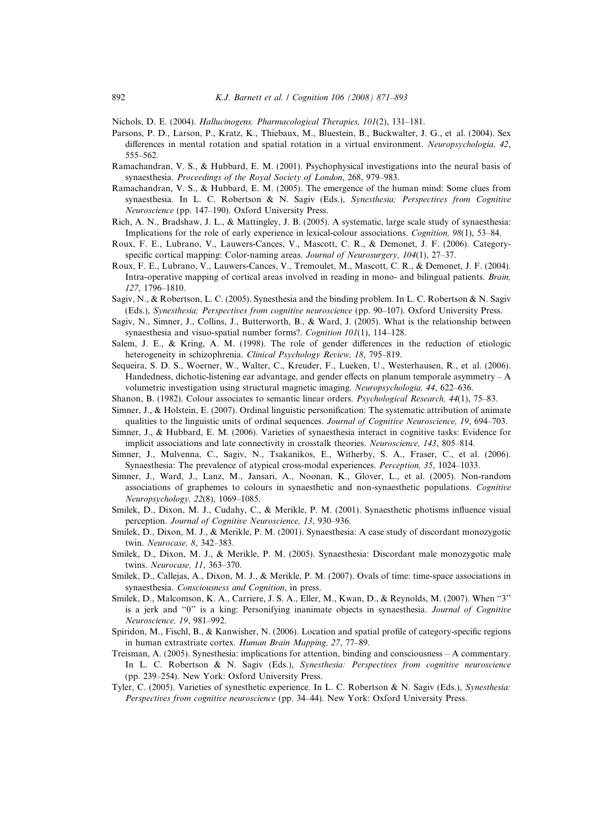<span id="page-21-0"></span>Nichols, D. E. (2004). Hallucinogens. Pharmacological Therapies, 101(2), 131–181.

- Parsons, P. D., Larson, P., Kratz, K., Thiebaux, M., Bluestein, B., Buckwalter, J. G., et al. (2004). Sex differences in mental rotation and spatial rotation in a virtual environment. Neuropsychologia, 42, 555–562.
- Ramachandran, V. S., & Hubbard, E. M. (2001). Psychophysical investigations into the neural basis of synaesthesia. Proceedings of the Royal Society of London, 268, 979–983.
- Ramachandran, V. S., & Hubbard, E. M. (2005). The emergence of the human mind: Some clues from synaesthesia. In L. C. Robertson & N. Sagiv (Eds.), Synesthesia; Perspectives from Cognitive Neuroscience (pp. 147–190). Oxford University Press.
- Rich, A. N., Bradshaw, J. L., & Mattingley, J. B. (2005). A systematic, large scale study of synaesthesia: Implications for the role of early experience in lexical-colour associations. Cognition, 98(1), 53–84.
- Roux, F. E., Lubrano, V., Lauwers-Cances, V., Mascott, C. R., & Demonet, J. F. (2006). Categoryspecific cortical mapping: Color-naming areas. Journal of Neurosurgery, 104(1), 27–37.
- Roux, F. E., Lubrano, V., Lauwers-Cances, V., Tremoulet, M., Mascott, C. R., & Demonet, J. F. (2004). Intra-operative mapping of cortical areas involved in reading in mono- and bilingual patients. Brain, 127, 1796–1810.
- Sagiv, N., & Robertson, L. C. (2005). Synesthesia and the binding problem. In L. C. Robertson & N. Sagiv (Eds.), Synesthesia; Perspectives from cognitive neuroscience (pp. 90–107). Oxford University Press.
- Sagiv, N., Simner, J., Collins, J., Butterworth, B., & Ward, J. (2005). What is the relationship between synaesthesia and visuo-spatial number forms?. Cognition 101(1), 114–128.
- Salem, J. E., & Kring, A. M. (1998). The role of gender differences in the reduction of etiologic heterogeneity in schizophrenia. Clinical Psychology Review, 18, 795–819.
- Sequeira, S. D. S., Woerner, W., Walter, C., Kreuder, F., Lueken, U., Westerhausen, R., et al. (2006). Handedness, dichotic-listening ear advantage, and gender effects on planum temporale asymmetry – A volumetric investigation using structural magnetic imaging. Neuropsychologia, 44, 622–636.
- Shanon, B. (1982). Colour associates to semantic linear orders. *Psychological Research*, 44(1), 75–83.
- Simner, J., & Holstein, E. (2007). Ordinal linguistic personification: The systematic attribution of animate qualities to the linguistic units of ordinal sequences. Journal of Cognitive Neuroscience, 19, 694–703.
- Simner, J., & Hubbard, E. M. (2006). Varieties of synaesthesia interact in cognitive tasks: Evidence for implicit associations and late connectivity in crosstalk theories. Neuroscience, 143, 805–814.
- Simner, J., Mulvenna, C., Sagiv, N., Tsakanikos, E., Witherby, S. A., Fraser, C., et al. (2006). Synaesthesia: The prevalence of atypical cross-modal experiences. Perception, 35, 1024–1033.
- Simner, J., Ward, J., Lanz, M., Jansari, A., Noonan, K., Glover, L., et al. (2005). Non-random associations of graphemes to colours in synaesthetic and non-synaesthetic populations. Cognitive Neuropsychology, 22(8), 1069–1085.
- Smilek, D., Dixon, M. J., Cudahy, C., & Merikle, P. M. (2001). Synaesthetic photisms influence visual perception. Journal of Cognitive Neuroscience, 13, 930–936.
- Smilek, D., Dixon, M. J., & Merikle, P. M. (2001). Synaesthesia: A case study of discordant monozygotic twin. Neurocase, 8, 342–383.
- Smilek, D., Dixon, M. J., & Merikle, P. M. (2005). Synaesthesia: Discordant male monozygotic male twins. Neurocase, 11, 363–370.
- Smilek, D., Callejas, A., Dixon, M. J., & Merikle, P. M. (2007). Ovals of time: time-space associations in synaesthesia. Consciousness and Cognition, in press.
- Smilek, D., Malcomson, K. A., Carriere, J. S. A., Eller, M., Kwan, D., & Reynolds, M. (2007). When ''3'' is a jerk and "0" is a king: Personifying inanimate objects in synaesthesia. Journal of Cognitive Neuroscience, 19, 981–992.
- Spiridon, M., Fischl, B., & Kanwisher, N. (2006). Location and spatial profile of category-specific regions in human extrastriate cortex. Human Brain Mapping, 27, 77–89.
- Treisman, A. (2005). Synesthesia: implications for attention, binding and consciousness A commentary. In L. C. Robertson & N. Sagiv (Eds.), Synesthesia: Perspectives from cognitive neuroscience (pp. 239–254). New York: Oxford University Press.
- Tyler, C. (2005). Varieties of synesthetic experience. In L. C. Robertson & N. Sagiv (Eds.), Synesthesia: Perspectives from cognitive neuroscience (pp. 34–44). New York: Oxford University Press.